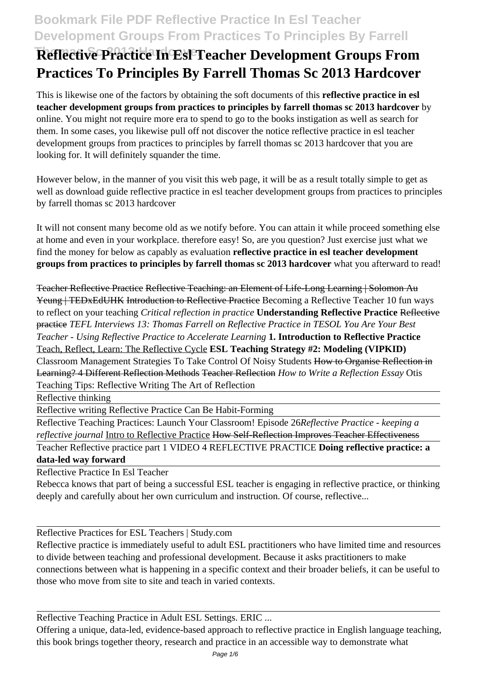# **Bookmark File PDF Reflective Practice In Esl Teacher Development Groups From Practices To Principles By Farrell**

# **Reflective Practice In Esl Teacher Development Groups From Practices To Principles By Farrell Thomas Sc 2013 Hardcover**

This is likewise one of the factors by obtaining the soft documents of this **reflective practice in esl teacher development groups from practices to principles by farrell thomas sc 2013 hardcover** by online. You might not require more era to spend to go to the books instigation as well as search for them. In some cases, you likewise pull off not discover the notice reflective practice in esl teacher development groups from practices to principles by farrell thomas sc 2013 hardcover that you are looking for. It will definitely squander the time.

However below, in the manner of you visit this web page, it will be as a result totally simple to get as well as download guide reflective practice in esl teacher development groups from practices to principles by farrell thomas sc 2013 hardcover

It will not consent many become old as we notify before. You can attain it while proceed something else at home and even in your workplace. therefore easy! So, are you question? Just exercise just what we find the money for below as capably as evaluation **reflective practice in esl teacher development groups from practices to principles by farrell thomas sc 2013 hardcover** what you afterward to read!

Teacher Reflective Practice Reflective Teaching: an Element of Life-Long Learning | Solomon Au Yeung | TEDxEdUHK Introduction to Reflective Practice Becoming a Reflective Teacher 10 fun ways to reflect on your teaching *Critical reflection in practice* **Understanding Reflective Practice** Reflective practice *TEFL Interviews 13: Thomas Farrell on Reflective Practice in TESOL You Are Your Best Teacher - Using Reflective Practice to Accelerate Learning* **1. Introduction to Reflective Practice** Teach, Reflect, Learn: The Reflective Cycle **ESL Teaching Strategy #2: Modeling (VIPKID)** Classroom Management Strategies To Take Control Of Noisy Students How to Organise Reflection in Learning? 4 Different Reflection Methods Teacher Reflection *How to Write a Reflection Essay* Otis Teaching Tips: Reflective Writing The Art of Reflection

Reflective thinking

Reflective writing Reflective Practice Can Be Habit-Forming

Reflective Teaching Practices: Launch Your Classroom! Episode 26*Reflective Practice - keeping a reflective journal* Intro to Reflective Practice How Self-Reflection Improves Teacher Effectiveness Teacher Reflective practice part 1 VIDEO 4 REFLECTIVE PRACTICE **Doing reflective practice: a**

**data-led way forward**

Reflective Practice In Esl Teacher

Rebecca knows that part of being a successful ESL teacher is engaging in reflective practice, or thinking deeply and carefully about her own curriculum and instruction. Of course, reflective...

Reflective Practices for ESL Teachers | Study.com

Reflective practice is immediately useful to adult ESL practitioners who have limited time and resources to divide between teaching and professional development. Because it asks practitioners to make connections between what is happening in a specific context and their broader beliefs, it can be useful to those who move from site to site and teach in varied contexts.

Reflective Teaching Practice in Adult ESL Settings. ERIC ...

Offering a unique, data-led, evidence-based approach to reflective practice in English language teaching, this book brings together theory, research and practice in an accessible way to demonstrate what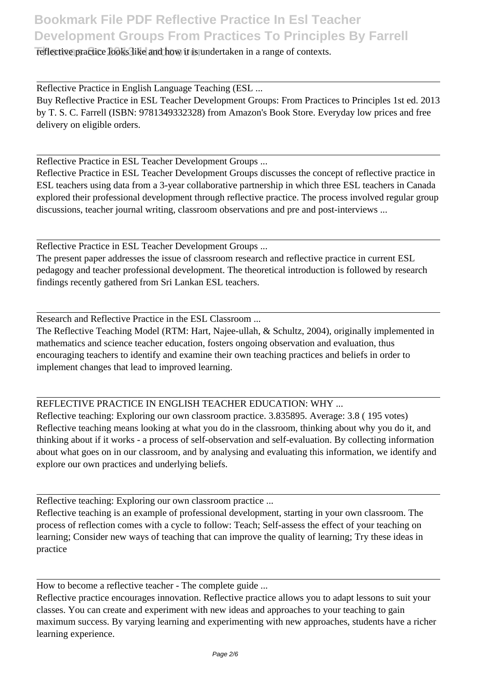#### reflective practice looks like and how it is undertaken in a range of contexts.

Reflective Practice in English Language Teaching (ESL ...

Buy Reflective Practice in ESL Teacher Development Groups: From Practices to Principles 1st ed. 2013 by T. S. C. Farrell (ISBN: 9781349332328) from Amazon's Book Store. Everyday low prices and free delivery on eligible orders.

Reflective Practice in ESL Teacher Development Groups ...

Reflective Practice in ESL Teacher Development Groups discusses the concept of reflective practice in ESL teachers using data from a 3-year collaborative partnership in which three ESL teachers in Canada explored their professional development through reflective practice. The process involved regular group discussions, teacher journal writing, classroom observations and pre and post-interviews ...

Reflective Practice in ESL Teacher Development Groups ...

The present paper addresses the issue of classroom research and reflective practice in current ESL pedagogy and teacher professional development. The theoretical introduction is followed by research findings recently gathered from Sri Lankan ESL teachers.

Research and Reflective Practice in the ESL Classroom ...

The Reflective Teaching Model (RTM: Hart, Najee-ullah, & Schultz, 2004), originally implemented in mathematics and science teacher education, fosters ongoing observation and evaluation, thus encouraging teachers to identify and examine their own teaching practices and beliefs in order to implement changes that lead to improved learning.

### REFLECTIVE PRACTICE IN ENGLISH TEACHER EDUCATION: WHY ...

Reflective teaching: Exploring our own classroom practice. 3.835895. Average: 3.8 ( 195 votes) Reflective teaching means looking at what you do in the classroom, thinking about why you do it, and thinking about if it works - a process of self-observation and self-evaluation. By collecting information about what goes on in our classroom, and by analysing and evaluating this information, we identify and explore our own practices and underlying beliefs.

Reflective teaching: Exploring our own classroom practice ...

Reflective teaching is an example of professional development, starting in your own classroom. The process of reflection comes with a cycle to follow: Teach; Self-assess the effect of your teaching on learning; Consider new ways of teaching that can improve the quality of learning; Try these ideas in practice

How to become a reflective teacher - The complete guide ...

Reflective practice encourages innovation. Reflective practice allows you to adapt lessons to suit your classes. You can create and experiment with new ideas and approaches to your teaching to gain maximum success. By varying learning and experimenting with new approaches, students have a richer learning experience.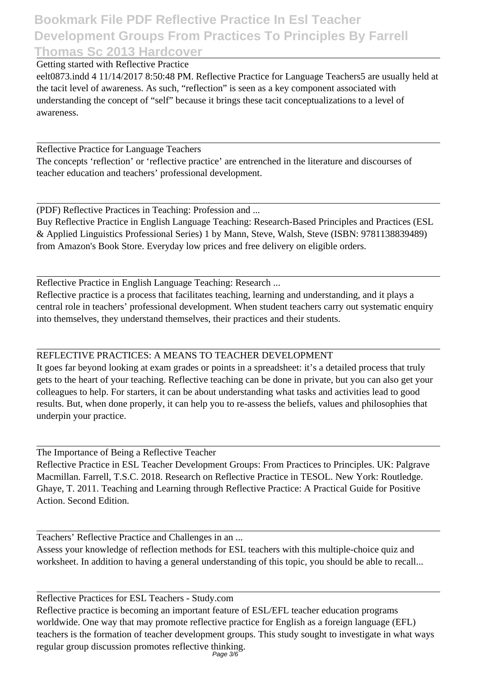### **Bookmark File PDF Reflective Practice In Esl Teacher Development Groups From Practices To Principles By Farrell Thomas Sc 2013 Hardcover**

Getting started with Reflective Practice

eelt0873.indd 4 11/14/2017 8:50:48 PM. Reflective Practice for Language Teachers5 are usually held at the tacit level of awareness. As such, "reflection" is seen as a key component associated with understanding the concept of "self" because it brings these tacit conceptualizations to a level of awareness.

Reflective Practice for Language Teachers

The concepts 'reflection' or 'reflective practice' are entrenched in the literature and discourses of teacher education and teachers' professional development.

(PDF) Reflective Practices in Teaching: Profession and ...

Buy Reflective Practice in English Language Teaching: Research-Based Principles and Practices (ESL & Applied Linguistics Professional Series) 1 by Mann, Steve, Walsh, Steve (ISBN: 9781138839489) from Amazon's Book Store. Everyday low prices and free delivery on eligible orders.

Reflective Practice in English Language Teaching: Research ...

Reflective practice is a process that facilitates teaching, learning and understanding, and it plays a central role in teachers' professional development. When student teachers carry out systematic enquiry into themselves, they understand themselves, their practices and their students.

### REFLECTIVE PRACTICES: A MEANS TO TEACHER DEVELOPMENT

It goes far beyond looking at exam grades or points in a spreadsheet: it's a detailed process that truly gets to the heart of your teaching. Reflective teaching can be done in private, but you can also get your colleagues to help. For starters, it can be about understanding what tasks and activities lead to good results. But, when done properly, it can help you to re-assess the beliefs, values and philosophies that underpin your practice.

The Importance of Being a Reflective Teacher

Reflective Practice in ESL Teacher Development Groups: From Practices to Principles. UK: Palgrave Macmillan. Farrell, T.S.C. 2018. Research on Reflective Practice in TESOL. New York: Routledge. Ghaye, T. 2011. Teaching and Learning through Reflective Practice: A Practical Guide for Positive Action. Second Edition.

Teachers' Reflective Practice and Challenges in an ...

Assess your knowledge of reflection methods for ESL teachers with this multiple-choice quiz and worksheet. In addition to having a general understanding of this topic, you should be able to recall...

Reflective Practices for ESL Teachers - Study.com Reflective practice is becoming an important feature of ESL/EFL teacher education programs worldwide. One way that may promote reflective practice for English as a foreign language (EFL) teachers is the formation of teacher development groups. This study sought to investigate in what ways regular group discussion promotes reflective thinking. Page 3/6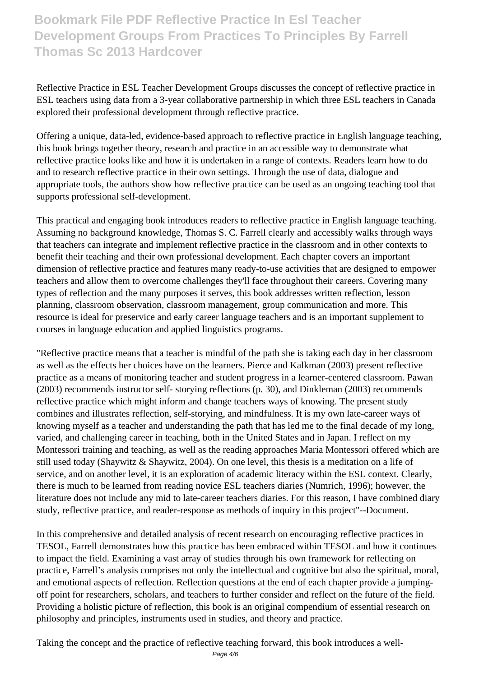# **Bookmark File PDF Reflective Practice In Esl Teacher Development Groups From Practices To Principles By Farrell Thomas Sc 2013 Hardcover**

Reflective Practice in ESL Teacher Development Groups discusses the concept of reflective practice in ESL teachers using data from a 3-year collaborative partnership in which three ESL teachers in Canada explored their professional development through reflective practice.

Offering a unique, data-led, evidence-based approach to reflective practice in English language teaching, this book brings together theory, research and practice in an accessible way to demonstrate what reflective practice looks like and how it is undertaken in a range of contexts. Readers learn how to do and to research reflective practice in their own settings. Through the use of data, dialogue and appropriate tools, the authors show how reflective practice can be used as an ongoing teaching tool that supports professional self-development.

This practical and engaging book introduces readers to reflective practice in English language teaching. Assuming no background knowledge, Thomas S. C. Farrell clearly and accessibly walks through ways that teachers can integrate and implement reflective practice in the classroom and in other contexts to benefit their teaching and their own professional development. Each chapter covers an important dimension of reflective practice and features many ready-to-use activities that are designed to empower teachers and allow them to overcome challenges they'll face throughout their careers. Covering many types of reflection and the many purposes it serves, this book addresses written reflection, lesson planning, classroom observation, classroom management, group communication and more. This resource is ideal for preservice and early career language teachers and is an important supplement to courses in language education and applied linguistics programs.

"Reflective practice means that a teacher is mindful of the path she is taking each day in her classroom as well as the effects her choices have on the learners. Pierce and Kalkman (2003) present reflective practice as a means of monitoring teacher and student progress in a learner-centered classroom. Pawan (2003) recommends instructor self- storying reflections (p. 30), and Dinkleman (2003) recommends reflective practice which might inform and change teachers ways of knowing. The present study combines and illustrates reflection, self-storying, and mindfulness. It is my own late-career ways of knowing myself as a teacher and understanding the path that has led me to the final decade of my long, varied, and challenging career in teaching, both in the United States and in Japan. I reflect on my Montessori training and teaching, as well as the reading approaches Maria Montessori offered which are still used today (Shaywitz & Shaywitz, 2004). On one level, this thesis is a meditation on a life of service, and on another level, it is an exploration of academic literacy within the ESL context. Clearly, there is much to be learned from reading novice ESL teachers diaries (Numrich, 1996); however, the literature does not include any mid to late-career teachers diaries. For this reason, I have combined diary study, reflective practice, and reader-response as methods of inquiry in this project"--Document.

In this comprehensive and detailed analysis of recent research on encouraging reflective practices in TESOL, Farrell demonstrates how this practice has been embraced within TESOL and how it continues to impact the field. Examining a vast array of studies through his own framework for reflecting on practice, Farrell's analysis comprises not only the intellectual and cognitive but also the spiritual, moral, and emotional aspects of reflection. Reflection questions at the end of each chapter provide a jumpingoff point for researchers, scholars, and teachers to further consider and reflect on the future of the field. Providing a holistic picture of reflection, this book is an original compendium of essential research on philosophy and principles, instruments used in studies, and theory and practice.

Taking the concept and the practice of reflective teaching forward, this book introduces a well-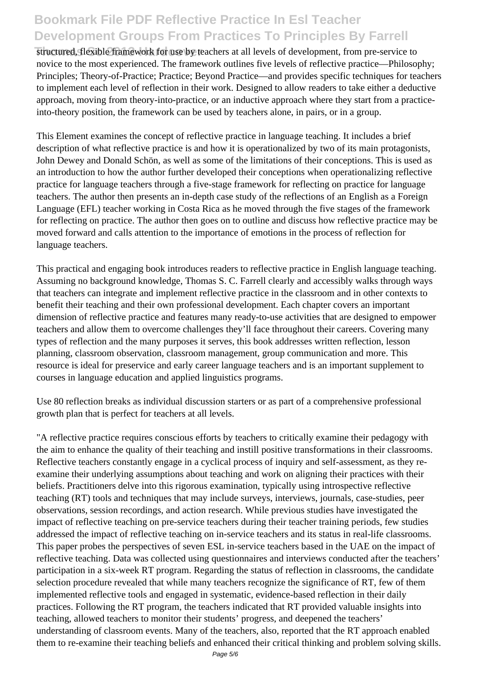# **Bookmark File PDF Reflective Practice In Esl Teacher Development Groups From Practices To Principles By Farrell**

structured, flexible framework for use by teachers at all levels of development, from pre-service to novice to the most experienced. The framework outlines five levels of reflective practice—Philosophy; Principles; Theory-of-Practice; Practice; Beyond Practice—and provides specific techniques for teachers to implement each level of reflection in their work. Designed to allow readers to take either a deductive approach, moving from theory-into-practice, or an inductive approach where they start from a practiceinto-theory position, the framework can be used by teachers alone, in pairs, or in a group.

This Element examines the concept of reflective practice in language teaching. It includes a brief description of what reflective practice is and how it is operationalized by two of its main protagonists, John Dewey and Donald Schön, as well as some of the limitations of their conceptions. This is used as an introduction to how the author further developed their conceptions when operationalizing reflective practice for language teachers through a five-stage framework for reflecting on practice for language teachers. The author then presents an in-depth case study of the reflections of an English as a Foreign Language (EFL) teacher working in Costa Rica as he moved through the five stages of the framework for reflecting on practice. The author then goes on to outline and discuss how reflective practice may be moved forward and calls attention to the importance of emotions in the process of reflection for language teachers.

This practical and engaging book introduces readers to reflective practice in English language teaching. Assuming no background knowledge, Thomas S. C. Farrell clearly and accessibly walks through ways that teachers can integrate and implement reflective practice in the classroom and in other contexts to benefit their teaching and their own professional development. Each chapter covers an important dimension of reflective practice and features many ready-to-use activities that are designed to empower teachers and allow them to overcome challenges they'll face throughout their careers. Covering many types of reflection and the many purposes it serves, this book addresses written reflection, lesson planning, classroom observation, classroom management, group communication and more. This resource is ideal for preservice and early career language teachers and is an important supplement to courses in language education and applied linguistics programs.

Use 80 reflection breaks as individual discussion starters or as part of a comprehensive professional growth plan that is perfect for teachers at all levels.

"A reflective practice requires conscious efforts by teachers to critically examine their pedagogy with the aim to enhance the quality of their teaching and instill positive transformations in their classrooms. Reflective teachers constantly engage in a cyclical process of inquiry and self-assessment, as they reexamine their underlying assumptions about teaching and work on aligning their practices with their beliefs. Practitioners delve into this rigorous examination, typically using introspective reflective teaching (RT) tools and techniques that may include surveys, interviews, journals, case-studies, peer observations, session recordings, and action research. While previous studies have investigated the impact of reflective teaching on pre-service teachers during their teacher training periods, few studies addressed the impact of reflective teaching on in-service teachers and its status in real-life classrooms. This paper probes the perspectives of seven ESL in-service teachers based in the UAE on the impact of reflective teaching. Data was collected using questionnaires and interviews conducted after the teachers' participation in a six-week RT program. Regarding the status of reflection in classrooms, the candidate selection procedure revealed that while many teachers recognize the significance of RT, few of them implemented reflective tools and engaged in systematic, evidence-based reflection in their daily practices. Following the RT program, the teachers indicated that RT provided valuable insights into teaching, allowed teachers to monitor their students' progress, and deepened the teachers' understanding of classroom events. Many of the teachers, also, reported that the RT approach enabled them to re-examine their teaching beliefs and enhanced their critical thinking and problem solving skills.